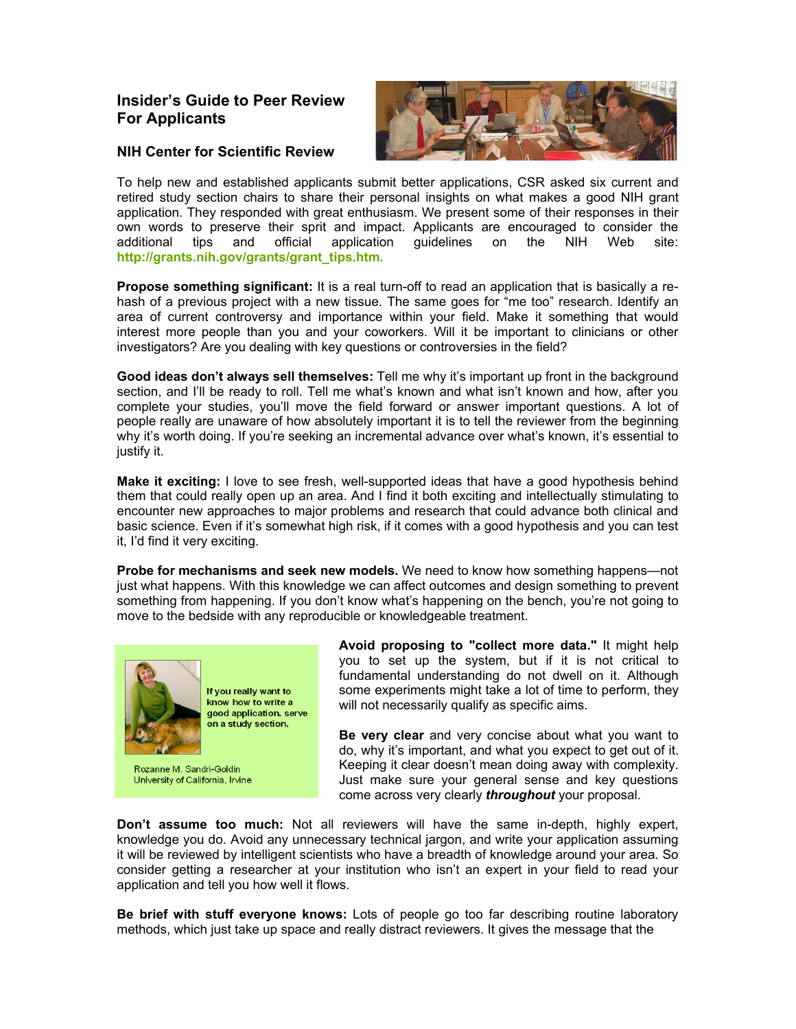## **Insider's Guide to Peer Review For Applicants**

## **NIH Center for Scientific Review**



To help new and established applicants submit better applications, CSR asked six current and retired study section chairs to share their personal insights on what makes a good NIH grant application. They responded with great enthusiasm. We present some of their responses in their own words to preserve their sprit and impact. Applicants are encouraged to consider the additional tips and official application guidelines on the NIH Web site: **[http://grants.nih.gov/grants/grant\\_tips.htm](http://grants.nih.gov/grants/grant_tips.htm).**

**Propose something significant:** It is a real turn-off to read an application that is basically a rehash of a previous project with a new tissue. The same goes for "me too" research. Identify an area of current controversy and importance within your field. Make it something that would interest more people than you and your coworkers. Will it be important to clinicians or other investigators? Are you dealing with key questions or controversies in the field?

**Good ideas don't always sell themselves:** Tell me why it's important up front in the background section, and I'll be ready to roll. Tell me what's known and what isn't known and how, after you complete your studies, you'll move the field forward or answer important questions. A lot of people really are unaware of how absolutely important it is to tell the reviewer from the beginning why it's worth doing. If you're seeking an incremental advance over what's known, it's essential to justify it.

**Make it exciting:** I love to see fresh, well-supported ideas that have a good hypothesis behind them that could really open up an area. And I find it both exciting and intellectually stimulating to encounter new approaches to major problems and research that could advance both clinical and basic science. Even if it's somewhat high risk, if it comes with a good hypothesis and you can test it, I'd find it very exciting.

**Probe for mechanisms and seek new models.** We need to know how something happens—not just what happens. With this knowledge we can affect outcomes and design something to prevent something from happening. If you don't know what's happening on the bench, you're not going to move to the bedside with any reproducible or knowledgeable treatment.



Rozanne M. Sandri-Goldin University of California, Irvine **Avoid proposing to "collect more data."** It might help you to set up the system, but if it is not critical to fundamental understanding do not dwell on it. Although some experiments might take a lot of time to perform, they will not necessarily qualify as specific aims.

**Be very clear** and very concise about what you want to do, why it's important, and what you expect to get out of it. Keeping it clear doesn't mean doing away with complexity. Just make sure your general sense and key questions come across very clearly *throughout* your proposal.

**Don't assume too much:** Not all reviewers will have the same in-depth, highly expert, knowledge you do. Avoid any unnecessary technical jargon, and write your application assuming it will be reviewed by intelligent scientists who have a breadth of knowledge around your area. So consider getting a researcher at your institution who isn't an expert in your field to read your application and tell you how well it flows.

**Be brief with stuff everyone knows:** Lots of people go too far describing routine laboratory methods, which just take up space and really distract reviewers. It gives the message that the